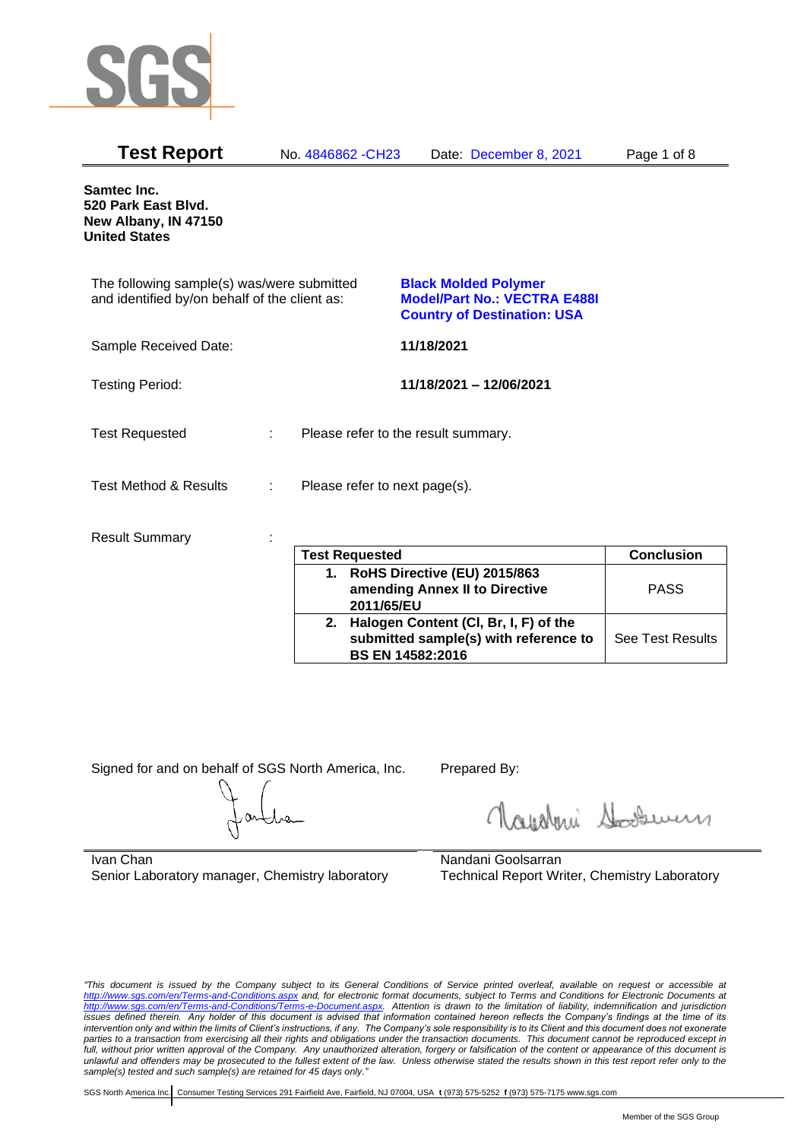

| <b>Test Report</b>                                                                          |    | No. 4846862 - CH23            | Date: December 8, 2021                                                                                   | Page 1 of 8 |
|---------------------------------------------------------------------------------------------|----|-------------------------------|----------------------------------------------------------------------------------------------------------|-------------|
| Samtec Inc.<br>520 Park East Blvd.<br>New Albany, IN 47150<br><b>United States</b>          |    |                               |                                                                                                          |             |
| The following sample(s) was/were submitted<br>and identified by/on behalf of the client as: |    |                               | <b>Black Molded Polymer</b><br><b>Model/Part No.: VECTRA E488I</b><br><b>Country of Destination: USA</b> |             |
| Sample Received Date:                                                                       |    |                               | 11/18/2021                                                                                               |             |
| <b>Testing Period:</b>                                                                      |    |                               | 11/18/2021 - 12/06/2021                                                                                  |             |
| <b>Test Requested</b>                                                                       | ÷. |                               | Please refer to the result summary.                                                                      |             |
| <b>Test Method &amp; Results</b>                                                            | ÷  | Please refer to next page(s). |                                                                                                          |             |
| <b>Result Summary</b>                                                                       |    | <b>Tost Ponyasted</b>         |                                                                                                          | Conclusion  |

|    | <b>Test Requested</b>                 | <b>Conclusion</b>       |
|----|---------------------------------------|-------------------------|
| 1. | RoHS Directive (EU) 2015/863          |                         |
|    | amending Annex II to Directive        | <b>PASS</b>             |
|    | 2011/65/EU                            |                         |
| 2. | Halogen Content (CI, Br, I, F) of the |                         |
|    | submitted sample(s) with reference to | <b>See Test Results</b> |
|    | <b>BS EN 14582:2016</b>               |                         |

Signed for and on behalf of SGS North America, Inc. Prepared By:

Roughan Souri

Ivan Chan Senior Laboratory manager, Chemistry laboratory

Nandani Goolsarran Technical Report Writer, Chemistry Laboratory

*"This document is issued by the Company subject to its General Conditions of Service printed overleaf, available on request or accessible at <http://www.sgs.com/en/Terms-and-Conditions.aspx> and, for electronic format documents, subject to Terms and Conditions for Electronic Documents at [http://www.sgs.com/en/Terms-and-Conditions/Terms-e-Document.aspx.](http://www.sgs.com/en/Terms-and-Conditions/Terms-e-Document.aspx) Attention is drawn to the limitation of liability, indemnification and jurisdiction issues defined therein. Any holder of this document is advised that information contained hereon reflects the Company's findings at the time of its intervention only and within the limits of Client's instructions, if any. The Company's sole responsibility is to its Client and this document does not exonerate*  parties to a transaction from exercising all their rights and obligations under the transaction documents. This document cannot be reproduced except in *full, without prior written approval of the Company. Any unauthorized alteration, forgery or falsification of the content or appearance of this document is unlawful and offenders may be prosecuted to the fullest extent of the law. Unless otherwise stated the results shown in this test report refer only to the sample(s) tested and such sample(s) are retained for 45 days only."*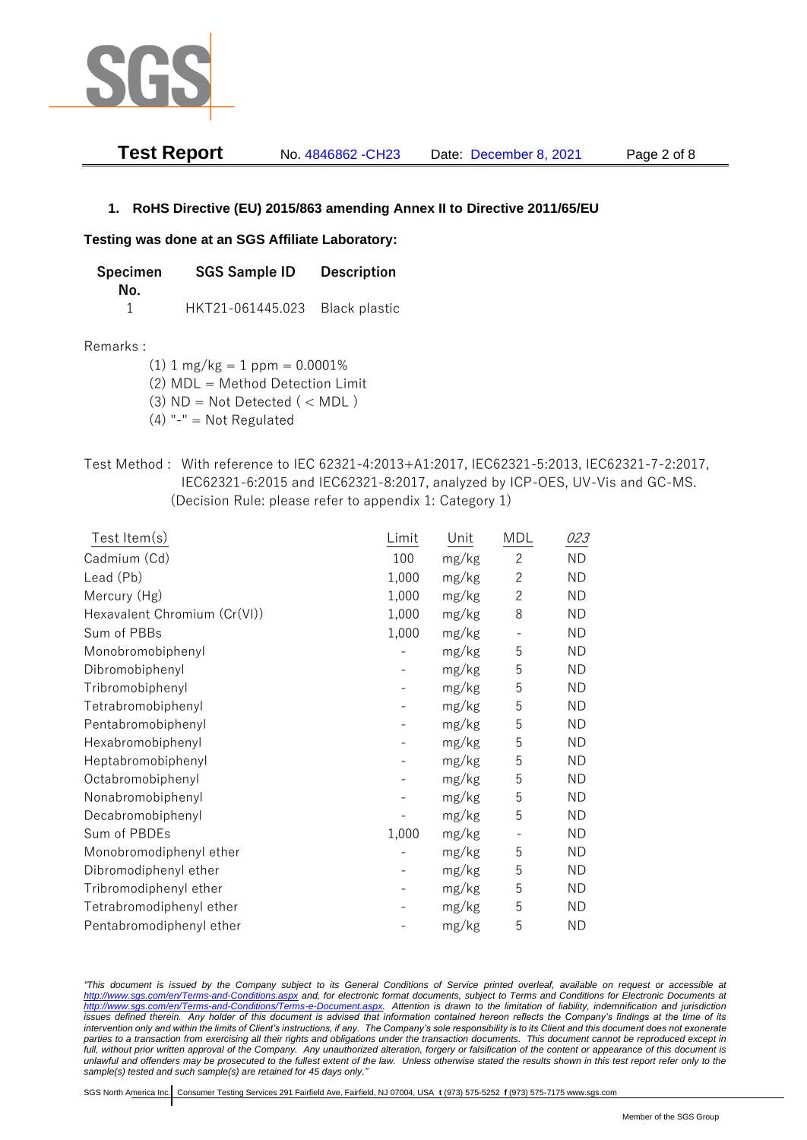

| <b>Test Report</b> | No. 4846862 - CH23 | Date: December 8, 2021 | Page 2 of 8 |
|--------------------|--------------------|------------------------|-------------|
|                    |                    |                        |             |

### **1. RoHS Directive (EU) 2015/863 amending Annex II to Directive 2011/65/EU**

### **Testing was done at an SGS Affiliate Laboratory:**

**Specimen SGS Sample ID Description No.** 1 HKT21-061445.023 Black plastic

### Remarks :

 $(1)$  1 mg/kg = 1 ppm = 0.0001%

(2) MDL = Method Detection Limit

(3)  $ND = Not detected$  ( < MDL)

- (4) "-" = Not Regulated
- Test Method : With reference to IEC 62321-4:2013+A1:2017, IEC62321-5:2013, IEC62321-7-2:2017, IEC62321-6:2015 and IEC62321-8:2017, analyzed by ICP-OES, UV-Vis and GC-MS. (Decision Rule: please refer to appendix 1: Category 1)

| Test Item(s)                 | Limit | Unit  | MDL          | 023       |
|------------------------------|-------|-------|--------------|-----------|
| Cadmium (Cd)                 | 100   | mg/kg | $\mathbf{2}$ | <b>ND</b> |
| Lead (Pb)                    | 1,000 | mg/kg | $\mathbf{2}$ | <b>ND</b> |
| Mercury (Hg)                 | 1,000 | mg/kg | $\mathbf{2}$ | <b>ND</b> |
| Hexavalent Chromium (Cr(VI)) | 1,000 | mg/kg | 8            | <b>ND</b> |
| Sum of PBBs                  | 1,000 | mg/kg |              | <b>ND</b> |
| Monobromobiphenyl            |       | mg/kg | 5            | <b>ND</b> |
| Dibromobiphenyl              |       | mg/kg | 5            | <b>ND</b> |
| Tribromobiphenyl             |       | mg/kg | 5            | <b>ND</b> |
| Tetrabromobiphenyl           |       | mg/kg | 5            | <b>ND</b> |
| Pentabromobiphenyl           |       | mg/kg | 5            | <b>ND</b> |
| Hexabromobiphenyl            |       | mg/kg | 5            | <b>ND</b> |
| Heptabromobiphenyl           |       | mg/kg | 5            | <b>ND</b> |
| Octabromobiphenyl            |       | mg/kg | 5            | <b>ND</b> |
| Nonabromobiphenyl            |       | mg/kg | 5            | <b>ND</b> |
| Decabromobiphenyl            |       | mg/kg | 5            | <b>ND</b> |
| Sum of PBDEs                 | 1,000 | mg/kg |              | <b>ND</b> |
| Monobromodiphenyl ether      |       | mg/kg | 5            | <b>ND</b> |
| Dibromodiphenyl ether        |       | mg/kg | 5            | <b>ND</b> |
| Tribromodiphenyl ether       |       | mg/kg | 5            | <b>ND</b> |
| Tetrabromodiphenyl ether     |       | mg/kg | 5            | <b>ND</b> |
| Pentabromodiphenyl ether     |       | mg/kg | 5            | <b>ND</b> |

*"This document is issued by the Company subject to its General Conditions of Service printed overleaf, available on request or accessible at <http://www.sgs.com/en/Terms-and-Conditions.aspx> and, for electronic format documents, subject to Terms and Conditions for Electronic Documents at [http://www.sgs.com/en/Terms-and-Conditions/Terms-e-Document.aspx.](http://www.sgs.com/en/Terms-and-Conditions/Terms-e-Document.aspx) Attention is drawn to the limitation of liability, indemnification and jurisdiction issues defined therein. Any holder of this document is advised that information contained hereon reflects the Company's findings at the time of its intervention only and within the limits of Client's instructions, if any. The Company's sole responsibility is to its Client and this document does not exonerate parties to a transaction from exercising all their rights and obligations under the transaction documents. This document cannot be reproduced except in full, without prior written approval of the Company. Any unauthorized alteration, forgery or falsification of the content or appearance of this document is unlawful and offenders may be prosecuted to the fullest extent of the law. Unless otherwise stated the results shown in this test report refer only to the sample(s) tested and such sample(s) are retained for 45 days only."*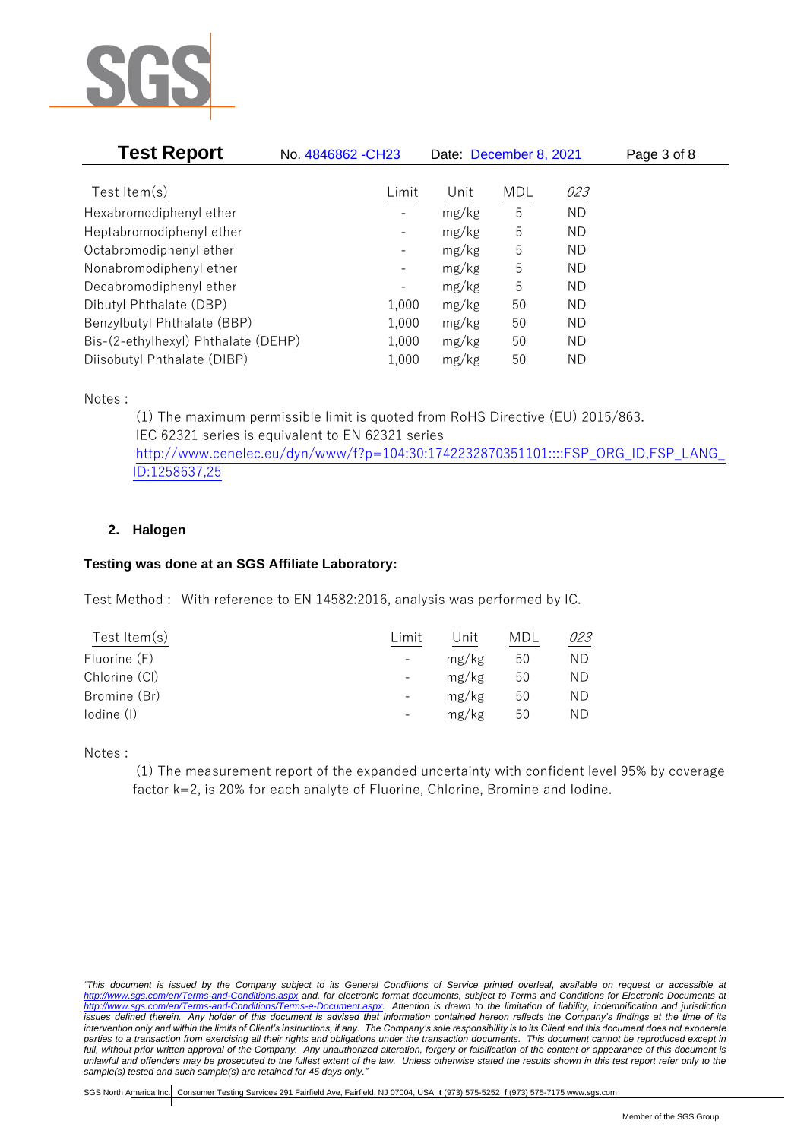

| <b>Test Report</b>                  | No. 4846862 - CH23           | Date: December 8, 2021 |     |           | Page 3 of 8 |
|-------------------------------------|------------------------------|------------------------|-----|-----------|-------------|
|                                     |                              |                        |     |           |             |
| Test Item $(s)$                     | Limit                        | Unit                   | MDL | 023       |             |
| Hexabromodiphenyl ether             |                              | mg/kg                  | 5   | <b>ND</b> |             |
| Heptabromodiphenyl ether            |                              | mg/kg                  | 5   | ND        |             |
| Octabromodiphenyl ether             | $\qquad \qquad \blacksquare$ | mg/kg                  | 5   | ND        |             |
| Nonabromodiphenyl ether             | -                            | mg/kg                  | 5   | ND        |             |
| Decabromodiphenyl ether             | -                            | mg/kg                  | 5   | ND        |             |
| Dibutyl Phthalate (DBP)             | 1,000                        | mg/kg                  | 50  | ND        |             |
| Benzylbutyl Phthalate (BBP)         | 1,000                        | mg/kg                  | 50  | ND        |             |
| Bis-(2-ethylhexyl) Phthalate (DEHP) | 1,000                        | mg/kg                  | 50  | ND        |             |
| Diisobutyl Phthalate (DIBP)         | 1,000                        | mg/kg                  | 50  | ΝD        |             |

Notes :

(1) The maximum permissible limit is quoted from RoHS Directive (EU) 2015/863. IEC 62321 series is equivalent to EN 62321 series [http://www.cenelec.eu/dyn/www/f?p=104:30:1742232870351101::::FSP\\_ORG\\_ID,FSP\\_LANG\\_](http://www.cenelec.eu/dyn/www/f?p=104:30:1742232870351101::::FSP_ORG_ID,FSP_LANG_ID:1258637,25) [ID:1258637,25](http://www.cenelec.eu/dyn/www/f?p=104:30:1742232870351101::::FSP_ORG_ID,FSP_LANG_ID:1258637,25)

# **2. Halogen**

## **Testing was done at an SGS Affiliate Laboratory:**

Test Method : With reference to EN 14582:2016, analysis was performed by IC.

| Test Item $(s)$ | Limit                    | Unit  | MDL | 023 |
|-----------------|--------------------------|-------|-----|-----|
| Fluorine (F)    | $\overline{\phantom{a}}$ | mg/kg | 50  | ΝD  |
| Chlorine (CI)   | $\overline{\phantom{a}}$ | mg/kg | 50  | ΝD  |
| Bromine (Br)    | $\qquad \qquad -$        | mg/kg | 50  | ΝD  |
| lodine (I)      | $\overline{\phantom{a}}$ | mg/kg | 50  | ΝD  |
|                 |                          |       |     |     |

Notes :

(1) The measurement report of the expanded uncertainty with confident level 95% by coverage factor k=2, is 20% for each analyte of Fluorine, Chlorine, Bromine and Iodine.

*<sup>&</sup>quot;This document is issued by the Company subject to its General Conditions of Service printed overleaf, available on request or accessible at <http://www.sgs.com/en/Terms-and-Conditions.aspx> and, for electronic format documents, subject to Terms and Conditions for Electronic Documents at [http://www.sgs.com/en/Terms-and-Conditions/Terms-e-Document.aspx.](http://www.sgs.com/en/Terms-and-Conditions/Terms-e-Document.aspx) Attention is drawn to the limitation of liability, indemnification and jurisdiction issues defined therein. Any holder of this document is advised that information contained hereon reflects the Company's findings at the time of its intervention only and within the limits of Client's instructions, if any. The Company's sole responsibility is to its Client and this document does not exonerate parties to a transaction from exercising all their rights and obligations under the transaction documents. This document cannot be reproduced except in full, without prior written approval of the Company. Any unauthorized alteration, forgery or falsification of the content or appearance of this document is unlawful and offenders may be prosecuted to the fullest extent of the law. Unless otherwise stated the results shown in this test report refer only to the sample(s) tested and such sample(s) are retained for 45 days only."*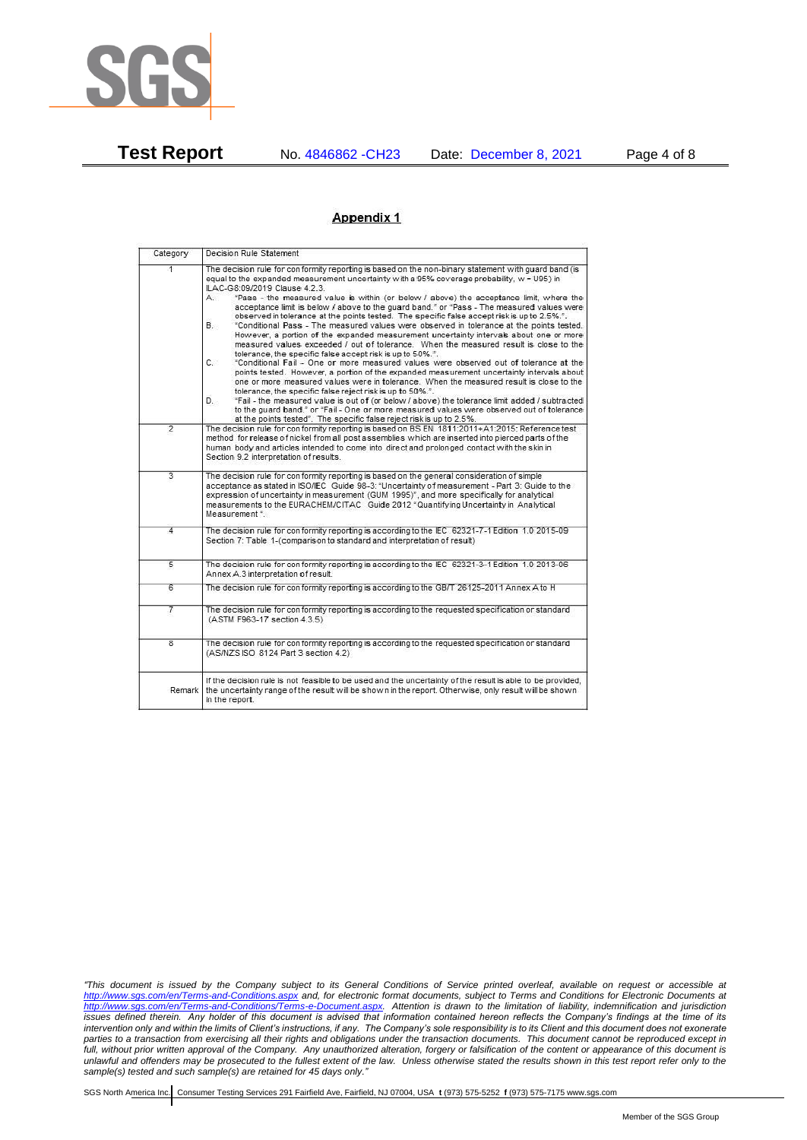

**Test Report** No. 4846862 -CH23 Date: December 8, 2021 Page 4 of 8

### Appendix 1

| Category                | Decision Rule Statement                                                                                                                                                                                                                                                                                                                                                                                                                                                                                                                                                                                                                                                                                                                                                                                                                                                                                                                                                                                                                                                                                                                                                                                                                                                                                                                                                                                                                                                                                                   |
|-------------------------|---------------------------------------------------------------------------------------------------------------------------------------------------------------------------------------------------------------------------------------------------------------------------------------------------------------------------------------------------------------------------------------------------------------------------------------------------------------------------------------------------------------------------------------------------------------------------------------------------------------------------------------------------------------------------------------------------------------------------------------------------------------------------------------------------------------------------------------------------------------------------------------------------------------------------------------------------------------------------------------------------------------------------------------------------------------------------------------------------------------------------------------------------------------------------------------------------------------------------------------------------------------------------------------------------------------------------------------------------------------------------------------------------------------------------------------------------------------------------------------------------------------------------|
| 1                       | The decision rule for conformity reporting is based on the non-binary statement with quard band (is<br>equal to the expanded measurement uncertainty with a 95% coverage probability, w = U95) in<br>ILAC-G8:09/2019 Clause 4.2.3.<br>"Pass - the measured value is within (or below / above) the acceptance limit, where the<br>А.<br>acceptance limit is below / above to the quard band." or "Pass - The measured values were<br>observed in tolerance at the points tested. The specific false accept risk is up to 2.5%.".<br><b>B.</b><br>"Conditional Pass - The measured values were observed in tolerance at the points tested.<br>However, a portion of the expanded measurement uncertainty intervals about one or more<br>measured values exceeded / out of tolerance. When the measured result is close to the<br>tolerance, the specific false accept risk is up to 50%.".<br>C.<br>"Conditional Fail - One or more measured values were observed out of tolerance at the<br>points tested. However, a portion of the expanded measurement uncertainty intervals about<br>one or more measured values were in tolerance. When the measured result is close to the<br>tolerance, the specific false reject risk is up to 50%.".<br>"Fail - the measured value is out of (or below / above) the tolerance limit added / subtracted<br>D.<br>to the quard band." or "Fail - One or more measured values were observed out of tolerance<br>at the points tested". The specific false reject risk is up to 2.5%. |
| $\overline{2}$          | The decision rule for conformity reporting is based on BS EN 1811:2011+A1:2015: Reference test<br>method for release of nickel from all post assemblies which are inserted into pierced parts of the<br>human body and articles intended to come into direct and prolonged contact with the skin in<br>Section 9.2 interpretation of results.                                                                                                                                                                                                                                                                                                                                                                                                                                                                                                                                                                                                                                                                                                                                                                                                                                                                                                                                                                                                                                                                                                                                                                             |
| $\overline{3}$          | The decision rule for conformity reporting is based on the general consideration of simple<br>acceptance as stated in ISO/IEC Guide 98-3: "Uncertainty of measurement - Part 3: Guide to the<br>expression of uncertainty in measurement (GUM 1995)", and more specifically for analytical<br>measurements to the EURACHEM/CITAC Guide 2012 "Quantifying Uncertainty in Analytical<br>Measurement *.                                                                                                                                                                                                                                                                                                                                                                                                                                                                                                                                                                                                                                                                                                                                                                                                                                                                                                                                                                                                                                                                                                                      |
| 4                       | The decision rule for conformity reporting is according to the IEC 62321-7-1 Edition 1.0 2015-09<br>Section 7: Table 1-(comparison to standard and interpretation of result)                                                                                                                                                                                                                                                                                                                                                                                                                                                                                                                                                                                                                                                                                                                                                                                                                                                                                                                                                                                                                                                                                                                                                                                                                                                                                                                                              |
| $\overline{5}$          | The decision rule for conformity reporting is according to the IEC 62321-3-1 Edition 1.0 2013-06<br>Annex A.3 interpretation of result.                                                                                                                                                                                                                                                                                                                                                                                                                                                                                                                                                                                                                                                                                                                                                                                                                                                                                                                                                                                                                                                                                                                                                                                                                                                                                                                                                                                   |
| 6                       | The decision rule for conformity reporting is according to the GB/T 26125-2011 Annex A to H                                                                                                                                                                                                                                                                                                                                                                                                                                                                                                                                                                                                                                                                                                                                                                                                                                                                                                                                                                                                                                                                                                                                                                                                                                                                                                                                                                                                                               |
| 7                       | The decision rule for conformity reporting is according to the requested specification or standard<br>(ASTM F963-17 section 4.3.5)                                                                                                                                                                                                                                                                                                                                                                                                                                                                                                                                                                                                                                                                                                                                                                                                                                                                                                                                                                                                                                                                                                                                                                                                                                                                                                                                                                                        |
| $\overline{\mathbf{8}}$ | The decision rule for conformity reporting is according to the requested specification or standard<br>(AS/NZS ISO 8124 Part 3 section 4.2)                                                                                                                                                                                                                                                                                                                                                                                                                                                                                                                                                                                                                                                                                                                                                                                                                                                                                                                                                                                                                                                                                                                                                                                                                                                                                                                                                                                |
| Remark                  | If the decision rule is not feasible to be used and the uncertainty of the result is able to be provided,<br>the uncertainty range of the result will be shown in the report. Otherwise, only result will be shown<br>in the report.                                                                                                                                                                                                                                                                                                                                                                                                                                                                                                                                                                                                                                                                                                                                                                                                                                                                                                                                                                                                                                                                                                                                                                                                                                                                                      |

*<sup>&</sup>quot;This document is issued by the Company subject to its General Conditions of Service printed overleaf, available on request or accessible at <http://www.sgs.com/en/Terms-and-Conditions.aspx> and, for electronic format documents, subject to Terms and Conditions for Electronic Documents at [http://www.sgs.com/en/Terms-and-Conditions/Terms-e-Document.aspx.](http://www.sgs.com/en/Terms-and-Conditions/Terms-e-Document.aspx) Attention is drawn to the limitation of liability, indemnification and jurisdiction issues defined therein. Any holder of this document is advised that information contained hereon reflects the Company's findings at the time of its intervention only and within the limits of Client's instructions, if any. The Company's sole responsibility is to its Client and this document does not exonerate parties to a transaction from exercising all their rights and obligations under the transaction documents. This document cannot be reproduced except in full, without prior written approval of the Company. Any unauthorized alteration, forgery or falsification of the content or appearance of this document is unlawful and offenders may be prosecuted to the fullest extent of the law. Unless otherwise stated the results shown in this test report refer only to the sample(s) tested and such sample(s) are retained for 45 days only."*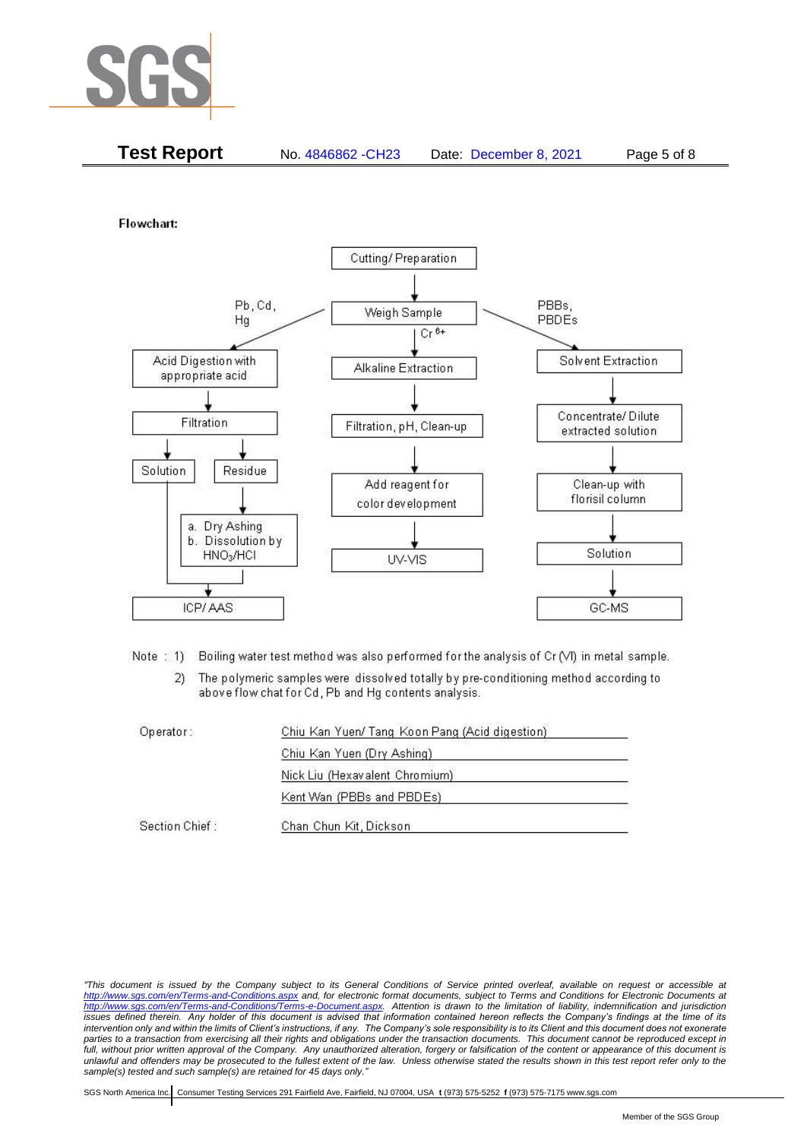

| <b>Test Report</b><br>No. 4846862 - CH23<br>Page 5 of 8<br>Date: December 8, 2021 |  |
|-----------------------------------------------------------------------------------|--|
|-----------------------------------------------------------------------------------|--|

Flowchart:



Note: 1) Boiling water test method was also performed for the analysis of Cr (VI) in metal sample.

The polymeric samples were dissolved totally by pre-conditioning method according to  $2)$ above flow chat for Cd, Pb and Hg contents analysis.

| Operator:      | Chiu Kan Yuen/ Tang Koon Pang (Acid digestion) |  |
|----------------|------------------------------------------------|--|
|                | Chiu Kan Yuen (Dry Ashing)                     |  |
|                | Nick Liu (Hexavalent Chromium)                 |  |
|                | Kent Wan (PBBs and PBDEs)                      |  |
| Section Chief: | Chan Chun Kit, Dickson                         |  |

*<sup>&</sup>quot;This document is issued by the Company subject to its General Conditions of Service printed overleaf, available on request or accessible at <http://www.sgs.com/en/Terms-and-Conditions.aspx> and, for electronic format documents, subject to Terms and Conditions for Electronic Documents at [http://www.sgs.com/en/Terms-and-Conditions/Terms-e-Document.aspx.](http://www.sgs.com/en/Terms-and-Conditions/Terms-e-Document.aspx) Attention is drawn to the limitation of liability, indemnification and jurisdiction issues defined therein. Any holder of this document is advised that information contained hereon reflects the Company's findings at the time of its intervention only and within the limits of Client's instructions, if any. The Company's sole responsibility is to its Client and this document does not exonerate parties to a transaction from exercising all their rights and obligations under the transaction documents. This document cannot be reproduced except in full, without prior written approval of the Company. Any unauthorized alteration, forgery or falsification of the content or appearance of this document is unlawful and offenders may be prosecuted to the fullest extent of the law. Unless otherwise stated the results shown in this test report refer only to the sample(s) tested and such sample(s) are retained for 45 days only."*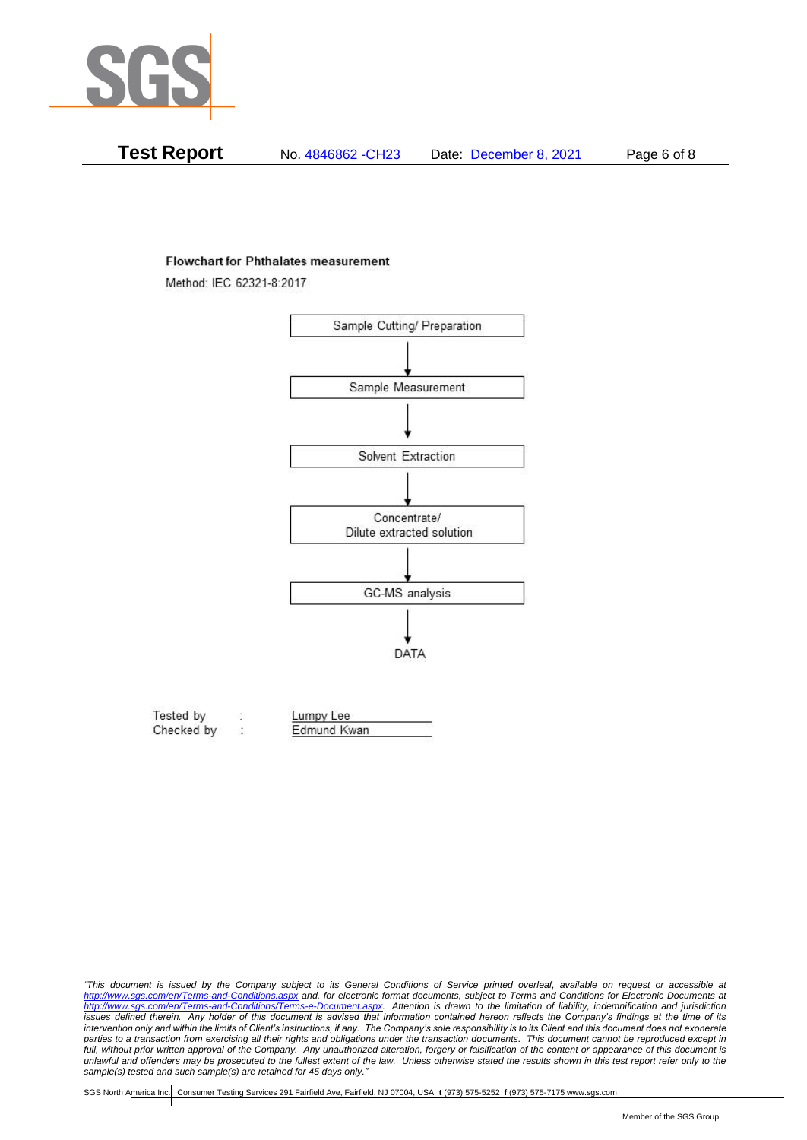

| Test Report<br>No. 4846862 - CH23<br>Date: December 8, 2021 |
|-------------------------------------------------------------|
|-------------------------------------------------------------|

#### **Flowchart for Phthalates measurement**

Method: IEC 62321-8:2017



| Tested by  | Lumpy Lee   |  |
|------------|-------------|--|
| Checked by | Edmund Kwan |  |

*<sup>&</sup>quot;This document is issued by the Company subject to its General Conditions of Service printed overleaf, available on request or accessible at <http://www.sgs.com/en/Terms-and-Conditions.aspx> and, for electronic format documents, subject to Terms and Conditions for Electronic Documents at [http://www.sgs.com/en/Terms-and-Conditions/Terms-e-Document.aspx.](http://www.sgs.com/en/Terms-and-Conditions/Terms-e-Document.aspx) Attention is drawn to the limitation of liability, indemnification and jurisdiction issues defined therein. Any holder of this document is advised that information contained hereon reflects the Company's findings at the time of its intervention only and within the limits of Client's instructions, if any. The Company's sole responsibility is to its Client and this document does not exonerate*  parties to a transaction from exercising all their rights and obligations under the transaction documents. This document cannot be reproduced except in *full, without prior written approval of the Company. Any unauthorized alteration, forgery or falsification of the content or appearance of this document is unlawful and offenders may be prosecuted to the fullest extent of the law. Unless otherwise stated the results shown in this test report refer only to the sample(s) tested and such sample(s) are retained for 45 days only."*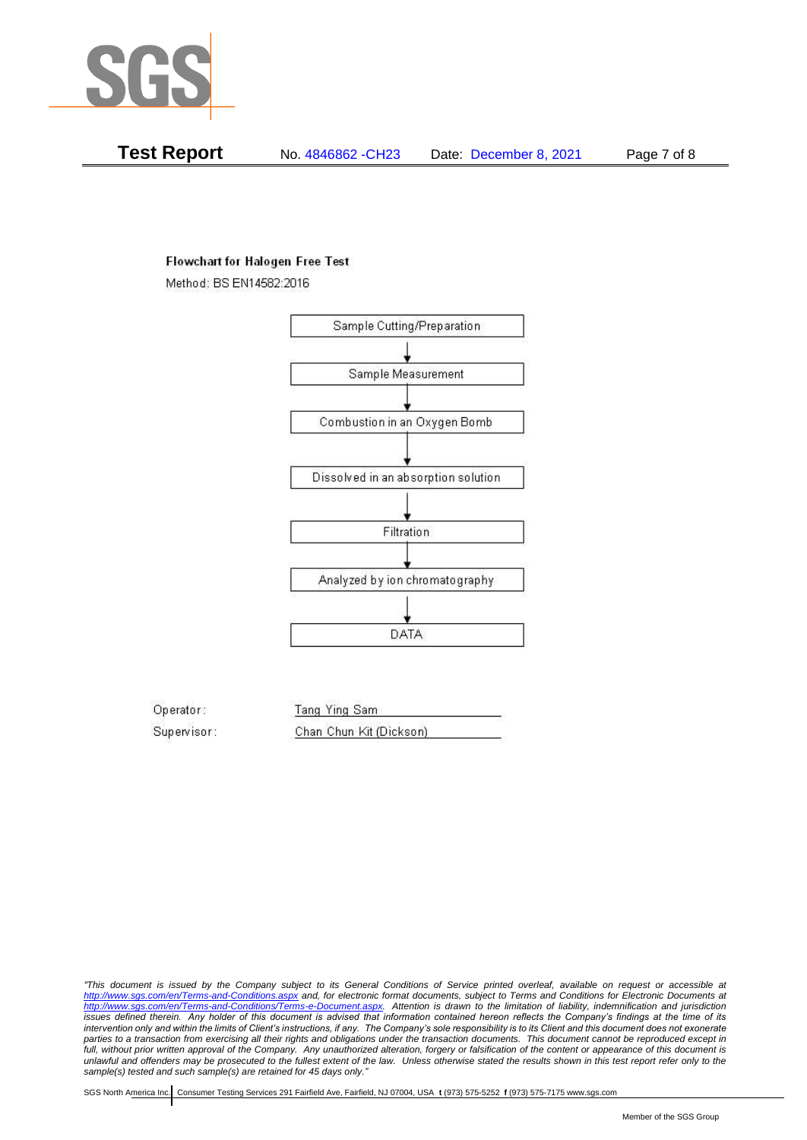

**Test Report** No. 4846862 -CH23 Date: December 8, 2021 Page 7 of 8

### **Flowchart for Halogen Free Test**

Method: BS EN14582:2016



Operator: Tang Ying Sam Supervisor: Chan Chun Kit (Dickson)

*"This document is issued by the Company subject to its General Conditions of Service printed overleaf, available on request or accessible at <http://www.sgs.com/en/Terms-and-Conditions.aspx> and, for electronic format documents, subject to Terms and Conditions for Electronic Documents at [http://www.sgs.com/en/Terms-and-Conditions/Terms-e-Document.aspx.](http://www.sgs.com/en/Terms-and-Conditions/Terms-e-Document.aspx) Attention is drawn to the limitation of liability, indemnification and jurisdiction issues defined therein. Any holder of this document is advised that information contained hereon reflects the Company's findings at the time of its intervention only and within the limits of Client's instructions, if any. The Company's sole responsibility is to its Client and this document does not exonerate parties to a transaction from exercising all their rights and obligations under the transaction documents. This document cannot be reproduced except in full, without prior written approval of the Company. Any unauthorized alteration, forgery or falsification of the content or appearance of this document is unlawful and offenders may be prosecuted to the fullest extent of the law. Unless otherwise stated the results shown in this test report refer only to the sample(s) tested and such sample(s) are retained for 45 days only."*